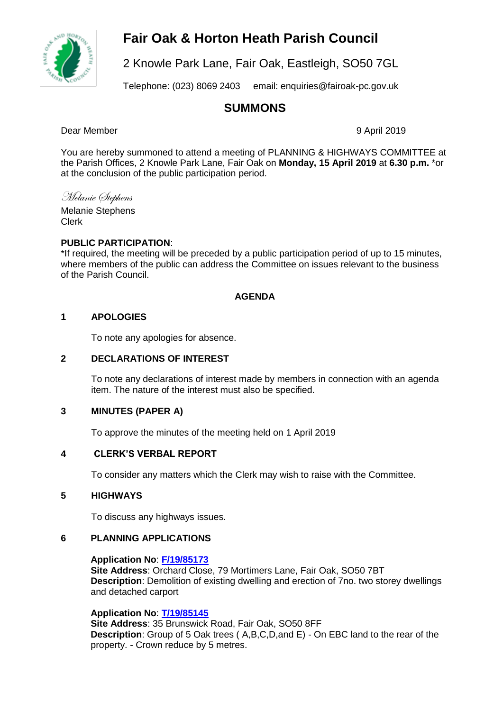# **Fair Oak & Horton Heath Parish Council**



2 Knowle Park Lane, Fair Oak, Eastleigh, SO50 7GL

Telephone: (023) 8069 2403 email: enquiries@fairoak-pc.gov.uk

# **SUMMONS**

Dear Member 9 April 2019

You are hereby summoned to attend a meeting of PLANNING & HIGHWAYS COMMITTEE at the Parish Offices, 2 Knowle Park Lane, Fair Oak on **Monday, 15 April 2019** at **6.30 p.m.** \*or at the conclusion of the public participation period.

Melanie Stephens

Melanie Stephens Clerk

# **PUBLIC PARTICIPATION**:

\*If required, the meeting will be preceded by a public participation period of up to 15 minutes, where members of the public can address the Committee on issues relevant to the business of the Parish Council.

# **AGENDA**

# **1 APOLOGIES**

To note any apologies for absence.

### **2 DECLARATIONS OF INTEREST**

To note any declarations of interest made by members in connection with an agenda item. The nature of the interest must also be specified.

#### **3 MINUTES (PAPER A)**

To approve the minutes of the meeting held on 1 April 2019

# **4 CLERK'S VERBAL REPORT**

To consider any matters which the Clerk may wish to raise with the Committee.

#### **5 HIGHWAYS**

To discuss any highways issues.

#### **6 PLANNING APPLICATIONS**

#### **Application No**: **[F/19/85173](https://planning.eastleigh.gov.uk/s/papplication/a1M1v0000064kWT)**

**Site Address**: Orchard Close, 79 Mortimers Lane, Fair Oak, SO50 7BT **Description**: Demolition of existing dwelling and erection of 7no. two storey dwellings and detached carport

#### **Application No**: **[T/19/85145](https://planning.eastleigh.gov.uk/s/papplication/a1M1v0000064hOh)**

**Site Address**: 35 Brunswick Road, Fair Oak, SO50 8FF **Description**: Group of 5 Oak trees ( A,B,C,D,and E) - On EBC land to the rear of the property. - Crown reduce by 5 metres.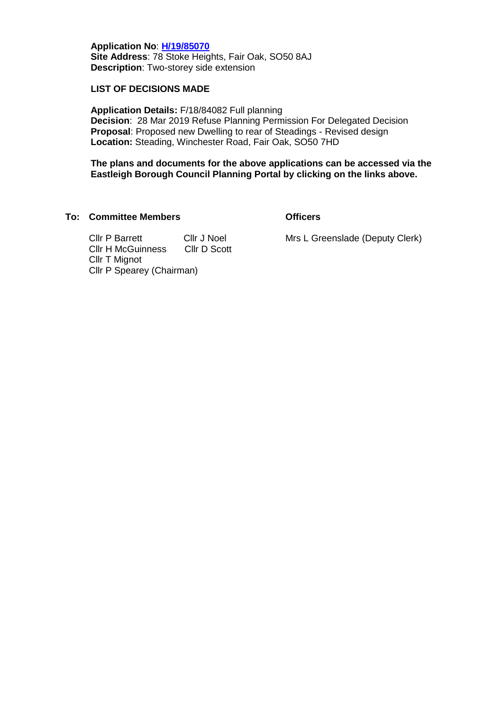**Application No**: **[H/19/85070](https://planning.eastleigh.gov.uk/s/papplication/a1M1v0000064geW) Site Address**: 78 Stoke Heights, Fair Oak, SO50 8AJ **Description**: Two-storey side extension

#### **LIST OF DECISIONS MADE**

**Application Details:** F/18/84082 Full planning **Decision**: 28 Mar 2019 Refuse Planning Permission For Delegated Decision **Proposal**: Proposed new Dwelling to rear of Steadings - Revised design **Location:** Steading, Winchester Road, Fair Oak, SO50 7HD

**The plans and documents for the above applications can be accessed via the Eastleigh Borough Council Planning Portal by clicking on the links above.**

#### **To: Committee Members Officers**

Cllr P Barrett Cllr J Noel Cllr H McGuinness Cllr D Scott Cllr T Mignot Cllr P Spearey (Chairman)

Mrs L Greenslade (Deputy Clerk)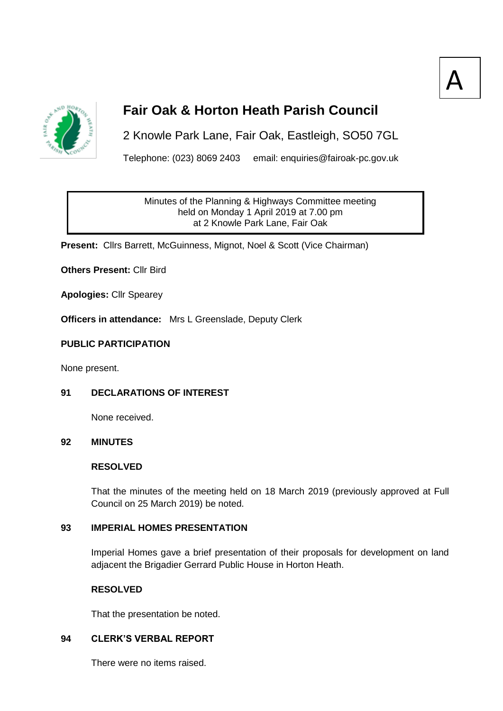



# **Fair Oak & Horton Heath Parish Council**

2 Knowle Park Lane, Fair Oak, Eastleigh, SO50 7GL

Telephone: (023) 8069 2403 email: enquiries@fairoak-pc.gov.uk

Minutes of the Planning & Highways Committee meeting held on Monday 1 April 2019 at 7.00 pm at 2 Knowle Park Lane, Fair Oak

**Present:** Cllrs Barrett, McGuinness, Mignot, Noel & Scott (Vice Chairman)

**Others Present:** Cllr Bird

**Apologies:** Cllr Spearey

**Officers in attendance:** Mrs L Greenslade, Deputy Clerk

#### **PUBLIC PARTICIPATION**

None present.

#### **91 DECLARATIONS OF INTEREST**

None received.

#### **92 MINUTES**

#### **RESOLVED**

That the minutes of the meeting held on 18 March 2019 (previously approved at Full Council on 25 March 2019) be noted.

### **93 IMPERIAL HOMES PRESENTATION**

Imperial Homes gave a brief presentation of their proposals for development on land adjacent the Brigadier Gerrard Public House in Horton Heath.

#### **RESOLVED**

That the presentation be noted.

### **94 CLERK'S VERBAL REPORT**

There were no items raised.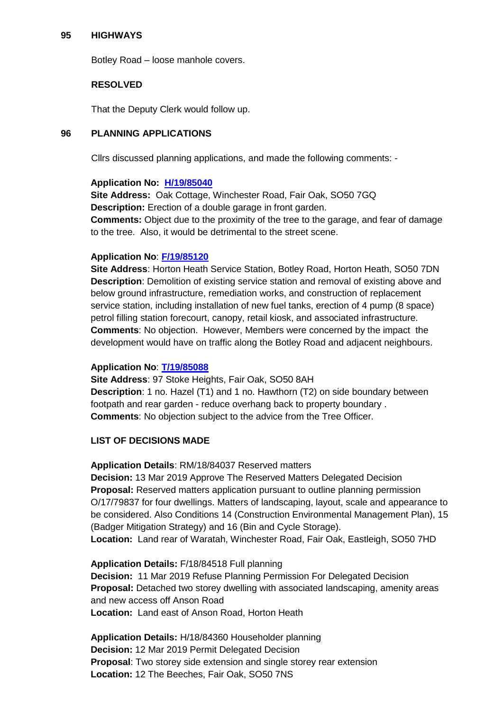#### **95 HIGHWAYS**

Botley Road – loose manhole covers.

#### **RESOLVED**

That the Deputy Clerk would follow up.

#### **96 PLANNING APPLICATIONS**

Cllrs discussed planning applications, and made the following comments: -

#### **Application No: [H/19/85040](mailto:https://planning.eastleigh.gov.uk/s/public-register)**

**Site Address:** Oak Cottage, Winchester Road, Fair Oak, SO50 7GQ **Description:** Erection of a double garage in front garden. **Comments:** Object due to the proximity of the tree to the garage, and fear of damage to the tree. Also, it would be detrimental to the street scene.

#### **Application No**: **[F/19/85120](https://planning.eastleigh.gov.uk/s/papplication/a1M1v0000064hCm)**

**Site Address**: Horton Heath Service Station, Botley Road, Horton Heath, SO50 7DN **Description**: Demolition of existing service station and removal of existing above and below ground infrastructure, remediation works, and construction of replacement service station, including installation of new fuel tanks, erection of 4 pump (8 space) petrol filling station forecourt, canopy, retail kiosk, and associated infrastructure. **Comments**: No objection. However, Members were concerned by the impact the development would have on traffic along the Botley Road and adjacent neighbours.

#### **Application No**: **[T/19/85088](https://planning.eastleigh.gov.uk/s/papplication/a1M1v0000064h1X)**

**Site Address**: 97 Stoke Heights, Fair Oak, SO50 8AH **Description**: 1 no. Hazel (T1) and 1 no. Hawthorn (T2) on side boundary between footpath and rear garden - reduce overhang back to property boundary . **Comments**: No objection subject to the advice from the Tree Officer.

#### **LIST OF DECISIONS MADE**

**Application Details**: RM/18/84037 Reserved matters

**Decision:** 13 Mar 2019 Approve The Reserved Matters Delegated Decision **Proposal:** Reserved matters application pursuant to outline planning permission O/17/79837 for four dwellings. Matters of landscaping, layout, scale and appearance to be considered. Also Conditions 14 (Construction Environmental Management Plan), 15 (Badger Mitigation Strategy) and 16 (Bin and Cycle Storage). **Location:** Land rear of Waratah, Winchester Road, Fair Oak, Eastleigh, SO50 7HD

**Application Details:** F/18/84518 Full planning **Decision:** 11 Mar 2019 Refuse Planning Permission For Delegated Decision **Proposal:** Detached two storey dwelling with associated landscaping, amenity areas and new access off Anson Road **Location:** Land east of Anson Road, Horton Heath

**Application Details:** H/18/84360 Householder planning **Decision:** 12 Mar 2019 Permit Delegated Decision **Proposal**: Two storey side extension and single storey rear extension **Location:** 12 The Beeches, Fair Oak, SO50 7NS